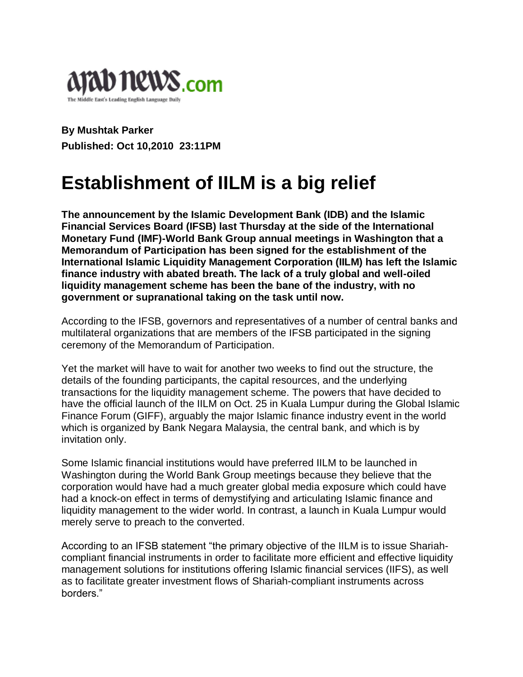

**By Mushtak Parker Published: Oct 10,2010 23:11PM**

## **Establishment of IILM is a big relief**

**The announcement by the Islamic Development Bank (IDB) and the Islamic Financial Services Board (IFSB) last Thursday at the side of the International Monetary Fund (IMF)-World Bank Group annual meetings in Washington that a Memorandum of Participation has been signed for the establishment of the International Islamic Liquidity Management Corporation (IILM) has left the Islamic finance industry with abated breath. The lack of a truly global and well-oiled liquidity management scheme has been the bane of the industry, with no government or supranational taking on the task until now.**

According to the IFSB, governors and representatives of a number of central banks and multilateral organizations that are members of the IFSB participated in the signing ceremony of the Memorandum of Participation.

Yet the market will have to wait for another two weeks to find out the structure, the details of the founding participants, the capital resources, and the underlying transactions for the liquidity management scheme. The powers that have decided to have the official launch of the IILM on Oct. 25 in Kuala Lumpur during the Global Islamic Finance Forum (GIFF), arguably the major Islamic finance industry event in the world which is organized by Bank Negara Malaysia, the central bank, and which is by invitation only.

Some Islamic financial institutions would have preferred IILM to be launched in Washington during the World Bank Group meetings because they believe that the corporation would have had a much greater global media exposure which could have had a knock-on effect in terms of demystifying and articulating Islamic finance and liquidity management to the wider world. In contrast, a launch in Kuala Lumpur would merely serve to preach to the converted.

According to an IFSB statement "the primary objective of the IILM is to issue Shariahcompliant financial instruments in order to facilitate more efficient and effective liquidity management solutions for institutions offering Islamic financial services (IIFS), as well as to facilitate greater investment flows of Shariah-compliant instruments across borders."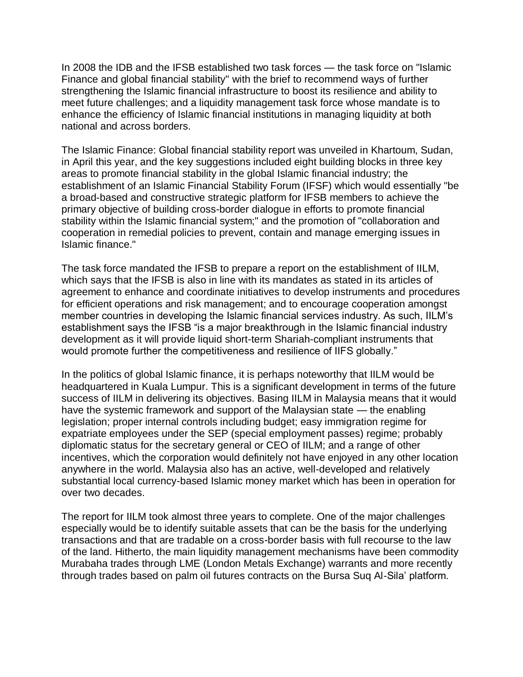In 2008 the IDB and the IFSB established two task forces — the task force on "Islamic Finance and global financial stability" with the brief to recommend ways of further strengthening the Islamic financial infrastructure to boost its resilience and ability to meet future challenges; and a liquidity management task force whose mandate is to enhance the efficiency of Islamic financial institutions in managing liquidity at both national and across borders.

The Islamic Finance: Global financial stability report was unveiled in Khartoum, Sudan, in April this year, and the key suggestions included eight building blocks in three key areas to promote financial stability in the global Islamic financial industry; the establishment of an Islamic Financial Stability Forum (IFSF) which would essentially "be a broad-based and constructive strategic platform for IFSB members to achieve the primary objective of building cross-border dialogue in efforts to promote financial stability within the Islamic financial system;" and the promotion of "collaboration and cooperation in remedial policies to prevent, contain and manage emerging issues in Islamic finance."

The task force mandated the IFSB to prepare a report on the establishment of IILM, which says that the IFSB is also in line with its mandates as stated in its articles of agreement to enhance and coordinate initiatives to develop instruments and procedures for efficient operations and risk management; and to encourage cooperation amongst member countries in developing the Islamic financial services industry. As such, IILM"s establishment says the IFSB "is a major breakthrough in the Islamic financial industry development as it will provide liquid short-term Shariah-compliant instruments that would promote further the competitiveness and resilience of IIFS globally."

In the politics of global Islamic finance, it is perhaps noteworthy that IILM would be headquartered in Kuala Lumpur. This is a significant development in terms of the future success of IILM in delivering its objectives. Basing IILM in Malaysia means that it would have the systemic framework and support of the Malaysian state — the enabling legislation; proper internal controls including budget; easy immigration regime for expatriate employees under the SEP (special employment passes) regime; probably diplomatic status for the secretary general or CEO of IILM; and a range of other incentives, which the corporation would definitely not have enjoyed in any other location anywhere in the world. Malaysia also has an active, well-developed and relatively substantial local currency-based Islamic money market which has been in operation for over two decades.

The report for IILM took almost three years to complete. One of the major challenges especially would be to identify suitable assets that can be the basis for the underlying transactions and that are tradable on a cross-border basis with full recourse to the law of the land. Hitherto, the main liquidity management mechanisms have been commodity Murabaha trades through LME (London Metals Exchange) warrants and more recently through trades based on palm oil futures contracts on the Bursa Suq Al-Sila" platform.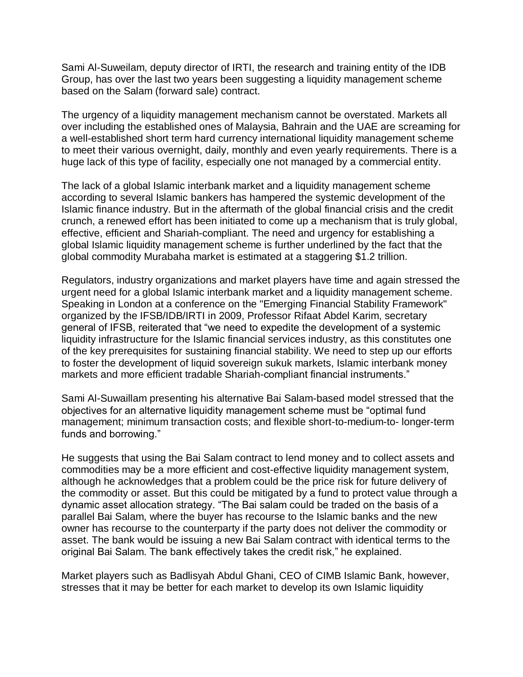Sami Al-Suweilam, deputy director of IRTI, the research and training entity of the IDB Group, has over the last two years been suggesting a liquidity management scheme based on the Salam (forward sale) contract.

The urgency of a liquidity management mechanism cannot be overstated. Markets all over including the established ones of Malaysia, Bahrain and the UAE are screaming for a well-established short term hard currency international liquidity management scheme to meet their various overnight, daily, monthly and even yearly requirements. There is a huge lack of this type of facility, especially one not managed by a commercial entity.

The lack of a global Islamic interbank market and a liquidity management scheme according to several Islamic bankers has hampered the systemic development of the Islamic finance industry. But in the aftermath of the global financial crisis and the credit crunch, a renewed effort has been initiated to come up a mechanism that is truly global, effective, efficient and Shariah-compliant. The need and urgency for establishing a global Islamic liquidity management scheme is further underlined by the fact that the global commodity Murabaha market is estimated at a staggering \$1.2 trillion.

Regulators, industry organizations and market players have time and again stressed the urgent need for a global Islamic interbank market and a liquidity management scheme. Speaking in London at a conference on the "Emerging Financial Stability Framework" organized by the IFSB/IDB/IRTI in 2009, Professor Rifaat Abdel Karim, secretary general of IFSB, reiterated that "we need to expedite the development of a systemic liquidity infrastructure for the Islamic financial services industry, as this constitutes one of the key prerequisites for sustaining financial stability. We need to step up our efforts to foster the development of liquid sovereign sukuk markets, Islamic interbank money markets and more efficient tradable Shariah-compliant financial instruments."

Sami Al-Suwaillam presenting his alternative Bai Salam-based model stressed that the objectives for an alternative liquidity management scheme must be "optimal fund management; minimum transaction costs; and flexible short-to-medium-to- longer-term funds and borrowing."

He suggests that using the Bai Salam contract to lend money and to collect assets and commodities may be a more efficient and cost-effective liquidity management system, although he acknowledges that a problem could be the price risk for future delivery of the commodity or asset. But this could be mitigated by a fund to protect value through a dynamic asset allocation strategy. "The Bai salam could be traded on the basis of a parallel Bai Salam, where the buyer has recourse to the Islamic banks and the new owner has recourse to the counterparty if the party does not deliver the commodity or asset. The bank would be issuing a new Bai Salam contract with identical terms to the original Bai Salam. The bank effectively takes the credit risk," he explained.

Market players such as Badlisyah Abdul Ghani, CEO of CIMB Islamic Bank, however, stresses that it may be better for each market to develop its own Islamic liquidity